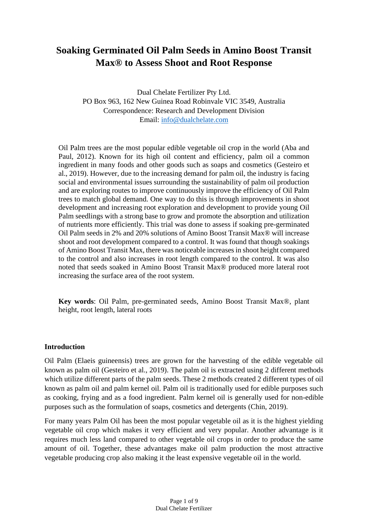# **Soaking Germinated Oil Palm Seeds in Amino Boost Transit Max® to Assess Shoot and Root Response**

Dual Chelate Fertilizer Pty Ltd. PO Box 963, 162 New Guinea Road Robinvale VIC 3549, Australia Correspondence: Research and Development Division Email: [info@dualchelate.com](mailto:info@dualchelate.com)

Oil Palm trees are the most popular edible vegetable oil crop in the world (Aba and Paul, 2012). Known for its high oil content and efficiency, palm oil a common ingredient in many foods and other goods such as soaps and cosmetics (Gesteiro et al., 2019). However, due to the increasing demand for palm oil, the industry is facing social and environmental issues surrounding the sustainability of palm oil production and are exploring routes to improve continuously improve the efficiency of Oil Palm trees to match global demand. One way to do this is through improvements in shoot development and increasing root exploration and development to provide young Oil Palm seedlings with a strong base to grow and promote the absorption and utilization of nutrients more efficiently. This trial was done to assess if soaking pre-germinated Oil Palm seeds in 2% and 20% solutions of Amino Boost Transit Max® will increase shoot and root development compared to a control. It was found that though soakings of Amino Boost Transit Max, there was noticeable increases in shoot height compared to the control and also increases in root length compared to the control. It was also noted that seeds soaked in Amino Boost Transit Max® produced more lateral root increasing the surface area of the root system.

**Key words**: Oil Palm, pre-germinated seeds, Amino Boost Transit Max®, plant height, root length, lateral roots

## **Introduction**

Oil Palm (Elaeis guineensis) trees are grown for the harvesting of the edible vegetable oil known as palm oil (Gesteiro et al., 2019). The palm oil is extracted using 2 different methods which utilize different parts of the palm seeds. These 2 methods created 2 different types of oil known as palm oil and palm kernel oil. Palm oil is traditionally used for edible purposes such as cooking, frying and as a food ingredient. Palm kernel oil is generally used for non-edible purposes such as the formulation of soaps, cosmetics and detergents (Chin, 2019).

For many years Palm Oil has been the most popular vegetable oil as it is the highest yielding vegetable oil crop which makes it very efficient and very popular. Another advantage is it requires much less land compared to other vegetable oil crops in order to produce the same amount of oil. Together, these advantages make oil palm production the most attractive vegetable producing crop also making it the least expensive vegetable oil in the world.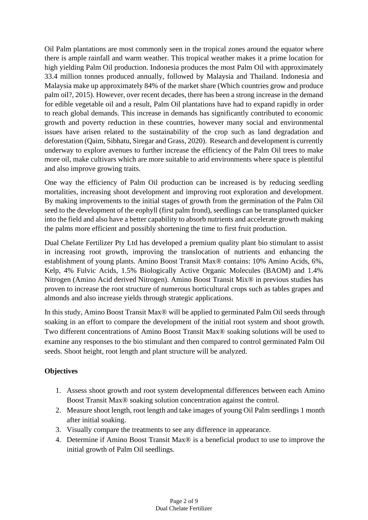Oil Palm plantations are most commonly seen in the tropical zones around the equator where there is ample rainfall and warm weather. This tropical weather makes it a prime location for high yielding Palm Oil production. Indonesia produces the most Palm Oil with approximately 33.4 million tonnes produced annually, followed by Malaysia and Thailand. Indonesia and Malaysia make up approximately 84% of the market share (Which countries grow and produce palm oil?, 2015). However, over recent decades, there has been a strong increase in the demand for edible vegetable oil and a result, Palm Oil plantations have had to expand rapidly in order to reach global demands. This increase in demands has significantly contributed to economic growth and poverty reduction in these countries, however many social and environmental issues have arisen related to the sustainability of the crop such as land degradation and deforestation (Qaim, Sibhatu, Siregar and Grass, 2020). Research and development is currently underway to explore avenues to further increase the efficiency of the Palm Oil trees to make more oil, make cultivars which are more suitable to arid environments where space is plentiful and also improve growing traits.

One way the efficiency of Palm Oil production can be increased is by reducing seedling mortalities, increasing shoot development and improving root exploration and development. By making improvements to the initial stages of growth from the germination of the Palm Oil seed to the development of the eophyll (first palm frond), seedlings can be transplanted quicker into the field and also have a better capability to absorb nutrients and accelerate growth making the palms more efficient and possibly shortening the time to first fruit production.

Dual Chelate Fertilizer Pty Ltd has developed a premium quality plant bio stimulant to assist in increasing root growth, improving the translocation of nutrients and enhancing the establishment of young plants. Amino Boost Transit Max® contains: 10% Amino Acids, 6%, Kelp, 4% Fulvic Acids, 1.5% Biologically Active Organic Molecules (BAOM) and 1.4% Nitrogen (Amino Acid derived Nitrogen). Amino Boost Transit Mix® in previous studies has proven to increase the root structure of numerous horticultural crops such as tables grapes and almonds and also increase yields through strategic applications.

In this study, Amino Boost Transit Max® will be applied to germinated Palm Oil seeds through soaking in an effort to compare the development of the initial root system and shoot growth. Two different concentrations of Amino Boost Transit Max® soaking solutions will be used to examine any responses to the bio stimulant and then compared to control germinated Palm Oil seeds. Shoot height, root length and plant structure will be analyzed.

# **Objectives**

- 1. Assess shoot growth and root system developmental differences between each Amino Boost Transit Max® soaking solution concentration against the control.
- 2. Measure shoot length, root length and take images of young Oil Palm seedlings 1 month after initial soaking.
- 3. Visually compare the treatments to see any difference in appearance.
- 4. Determine if Amino Boost Transit Max® is a beneficial product to use to improve the initial growth of Palm Oil seedlings.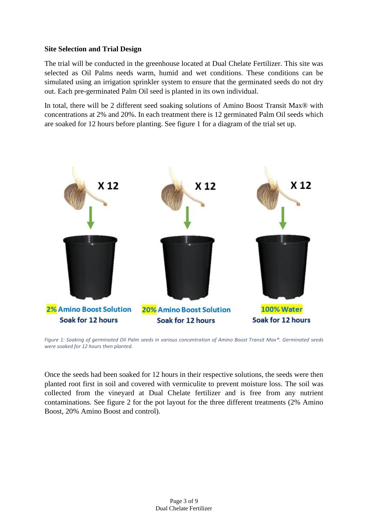## **Site Selection and Trial Design**

The trial will be conducted in the greenhouse located at Dual Chelate Fertilizer. This site was selected as Oil Palms needs warm, humid and wet conditions. These conditions can be simulated using an irrigation sprinkler system to ensure that the germinated seeds do not dry out. Each pre-germinated Palm Oil seed is planted in its own individual.

In total, there will be 2 different seed soaking solutions of Amino Boost Transit Max® with concentrations at 2% and 20%. In each treatment there is 12 germinated Palm Oil seeds which are soaked for 12 hours before planting. See figure 1 for a diagram of the trial set up.



*Figure 1: Soaking of germinated Oil Palm seeds in various concentration of Amino Boost Transit Max®. Germinated seeds were soaked for 12 hours then planted.*

Once the seeds had been soaked for 12 hours in their respective solutions, the seeds were then planted root first in soil and covered with vermiculite to prevent moisture loss. The soil was collected from the vineyard at Dual Chelate fertilizer and is free from any nutrient contaminations. See figure 2 for the pot layout for the three different treatments (2% Amino Boost, 20% Amino Boost and control).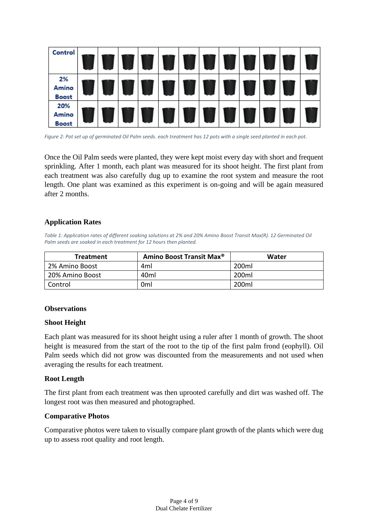

*Figure 2: Pot set up of germinated Oil Palm seeds. each treatment has 12 pots with a single seed planted in each pot.*

Once the Oil Palm seeds were planted, they were kept moist every day with short and frequent sprinkling. After 1 month, each plant was measured for its shoot height. The first plant from each treatment was also carefully dug up to examine the root system and measure the root length. One plant was examined as this experiment is on-going and will be again measured after 2 months.

## **Application Rates**

*Table 1: Application rates of different soaking solutions at 2% and 20% Amino Boost Transit Max(R). 12 Germinated Oil Palm seeds are soaked in each treatment for 12 hours then planted.*

| <b>Treatment</b> | Amino Boost Transit Max <sup>®</sup> | Water |
|------------------|--------------------------------------|-------|
| 2% Amino Boost   | 4ml                                  | 200ml |
| 20% Amino Boost  | 40ml                                 | 200ml |
| Control          | 0ml                                  | 200ml |

#### **Observations**

#### **Shoot Height**

Each plant was measured for its shoot height using a ruler after 1 month of growth. The shoot height is measured from the start of the root to the tip of the first palm frond (eophyll). Oil Palm seeds which did not grow was discounted from the measurements and not used when averaging the results for each treatment.

#### **Root Length**

The first plant from each treatment was then uprooted carefully and dirt was washed off. The longest root was then measured and photographed.

#### **Comparative Photos**

Comparative photos were taken to visually compare plant growth of the plants which were dug up to assess root quality and root length.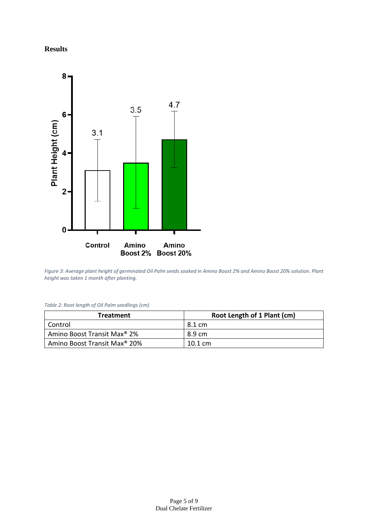## **Results**



*Figure 3: Average plant height of germinated Oil Palm seeds soaked in Amino Boost 2% and Amino Boost 20% solution. Plant height was taken 1 month after planting.*

*Table 2: Root length of Oil Palm seedlings (cm)*

| <b>Treatment</b>                         | Root Length of 1 Plant (cm) |
|------------------------------------------|-----------------------------|
| Control                                  | 8.1 cm                      |
| Amino Boost Transit Max <sup>®</sup> 2%  | 8.9 cm                      |
| Amino Boost Transit Max <sup>®</sup> 20% | $10.1 \text{ cm}$           |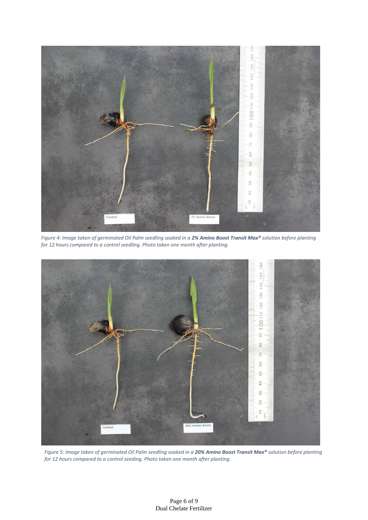

*Figure 4: Image taken of germinated Oil Palm seedling soaked in a 2% Amino Boost Transit Max® solution before planting for 12 hours compared to a control seedling. Photo taken one month after planting.*



*Figure 5: Image taken of germinated Oil Palm seedling soaked in a 20% Amino Boost Transit Max® solution before planting for 12 hours compared to a control seeding. Photo taken one month after planting.*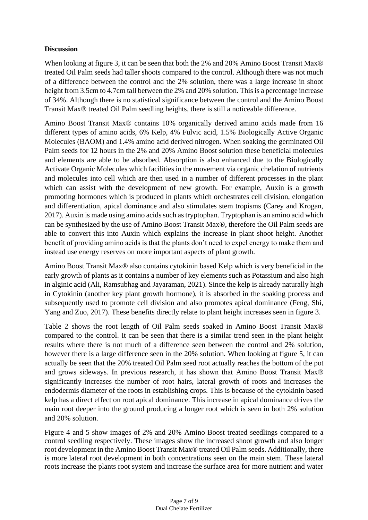# **Discussion**

When looking at figure 3, it can be seen that both the 2% and 20% Amino Boost Transit Max® treated Oil Palm seeds had taller shoots compared to the control. Although there was not much of a difference between the control and the 2% solution, there was a large increase in shoot height from 3.5cm to 4.7cm tall between the 2% and 20% solution. This is a percentage increase of 34%. Although there is no statistical significance between the control and the Amino Boost Transit Max® treated Oil Palm seedling heights, there is still a noticeable difference.

Amino Boost Transit Max® contains 10% organically derived amino acids made from 16 different types of amino acids, 6% Kelp, 4% Fulvic acid, 1.5% Biologically Active Organic Molecules (BAOM) and 1.4% amino acid derived nitrogen. When soaking the germinated Oil Palm seeds for 12 hours in the 2% and 20% Amino Boost solution these beneficial molecules and elements are able to be absorbed. Absorption is also enhanced due to the Biologically Activate Organic Molecules which facilities in the movement via organic chelation of nutrients and molecules into cell which are then used in a number of different processes in the plant which can assist with the development of new growth. For example, Auxin is a growth promoting hormones which is produced in plants which orchestrates cell division, elongation and differentiation, apical dominance and also stimulates stem tropisms (Carey and Krogan, 2017). Auxin is made using amino acids such as tryptophan. Tryptophan is an amino acid which can be synthesized by the use of Amino Boost Transit Max®, therefore the Oil Palm seeds are able to convert this into Auxin which explains the increase in plant shoot height. Another benefit of providing amino acids is that the plants don't need to expel energy to make them and instead use energy reserves on more important aspects of plant growth.

Amino Boost Transit Max® also contains cytokinin based Kelp which is very beneficial in the early growth of plants as it contains a number of key elements such as Potassium and also high in alginic acid (Ali, Ramsubhag and Jayaraman, 2021). Since the kelp is already naturally high in Cytokinin (another key plant growth hormone), it is absorbed in the soaking process and subsequently used to promote cell division and also promotes apical dominance (Feng, Shi, Yang and Zuo, 2017). These benefits directly relate to plant height increases seen in figure 3.

Table 2 shows the root length of Oil Palm seeds soaked in Amino Boost Transit Max® compared to the control. It can be seen that there is a similar trend seen in the plant height results where there is not much of a difference seen between the control and 2% solution, however there is a large difference seen in the 20% solution. When looking at figure 5, it can actually be seen that the 20% treated Oil Palm seed root actually reaches the bottom of the pot and grows sideways. In previous research, it has shown that Amino Boost Transit Max® significantly increases the number of root hairs, lateral growth of roots and increases the endodermis diameter of the roots in establishing crops. This is because of the cytokinin based kelp has a direct effect on root apical dominance. This increase in apical dominance drives the main root deeper into the ground producing a longer root which is seen in both 2% solution and 20% solution.

Figure 4 and 5 show images of 2% and 20% Amino Boost treated seedlings compared to a control seedling respectively. These images show the increased shoot growth and also longer root development in the Amino Boost Transit Max® treated Oil Palm seeds. Additionally, there is more lateral root development in both concentrations seen on the main stem. These lateral roots increase the plants root system and increase the surface area for more nutrient and water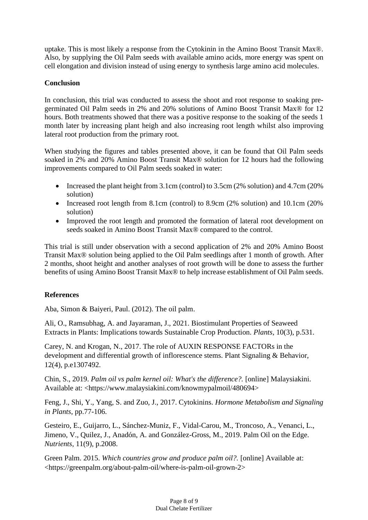uptake. This is most likely a response from the Cytokinin in the Amino Boost Transit Max®. Also, by supplying the Oil Palm seeds with available amino acids, more energy was spent on cell elongation and division instead of using energy to synthesis large amino acid molecules.

# **Conclusion**

In conclusion, this trial was conducted to assess the shoot and root response to soaking pregerminated Oil Palm seeds in 2% and 20% solutions of Amino Boost Transit Max® for 12 hours. Both treatments showed that there was a positive response to the soaking of the seeds 1 month later by increasing plant heigh and also increasing root length whilst also improving lateral root production from the primary root.

When studying the figures and tables presented above, it can be found that Oil Palm seeds soaked in 2% and 20% Amino Boost Transit Max® solution for 12 hours had the following improvements compared to Oil Palm seeds soaked in water:

- Increased the plant height from 3.1cm (control) to 3.5cm (2% solution) and 4.7cm (20% solution)
- Increased root length from 8.1cm (control) to 8.9cm (2% solution) and 10.1cm (20% solution)
- Improved the root length and promoted the formation of lateral root development on seeds soaked in Amino Boost Transit Max® compared to the control.

This trial is still under observation with a second application of 2% and 20% Amino Boost Transit Max® solution being applied to the Oil Palm seedlings after 1 month of growth. After 2 months, shoot height and another analyses of root growth will be done to assess the further benefits of using Amino Boost Transit Max® to help increase establishment of Oil Palm seeds.

## **References**

Aba, Simon & Baiyeri, Paul. (2012). The oil palm.

Ali, O., Ramsubhag, A. and Jayaraman, J., 2021. Biostimulant Properties of Seaweed Extracts in Plants: Implications towards Sustainable Crop Production. *Plants*, 10(3), p.531.

Carey, N. and Krogan, N., 2017. The role of AUXIN RESPONSE FACTORs in the development and differential growth of inflorescence stems. Plant Signaling & Behavior, 12(4), p.e1307492.

Chin, S., 2019. *Palm oil vs palm kernel oil: What's the difference?.* [online] Malaysiakini. Available at: <https://www.malaysiakini.com/knowmypalmoil/480694>

Feng, J., Shi, Y., Yang, S. and Zuo, J., 2017. Cytokinins. *Hormone Metabolism and Signaling in Plants*, pp.77-106.

Gesteiro, E., Guijarro, L., Sánchez-Muniz, F., Vidal-Carou, M., Troncoso, A., Venanci, L., Jimeno, V., Quilez, J., Anadón, A. and González-Gross, M., 2019. Palm Oil on the Edge. *Nutrients*, 11(9), p.2008.

Green Palm. 2015. *Which countries grow and produce palm oil?.* [online] Available at: <https://greenpalm.org/about-palm-oil/where-is-palm-oil-grown-2>